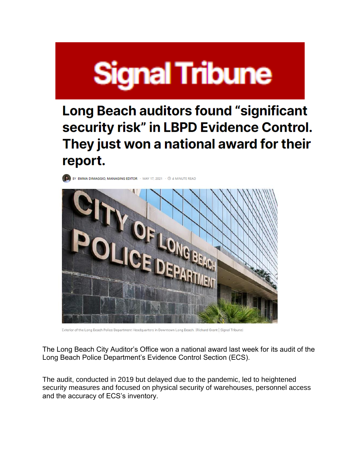## **Signal Tribune**

Long Beach auditors found "significant security risk" in LBPD Evidence Control. They just won a national award for their report.

BY EMMA DIMAGGIO, MANAGING EDITOR · MAY 17, 2021 · © 4 MINUTE READ



Exterior of the Long Beach Police Department Headquarters in Downtown Long Beach, (Richard Grant | Signal Tribune)

The Long Beach City Auditor's Office won a national award last week for its audit of the Long Beach Police Department's Evidence Control Section (ECS).

The audit, conducted in 2019 but delayed due to the pandemic, led to heightened security measures and focused on physical security of warehouses, personnel access and the accuracy of ECS's inventory.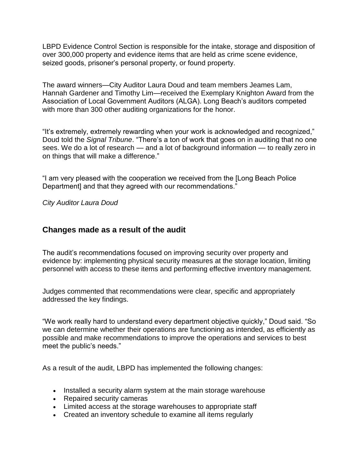LBPD Evidence Control Section is responsible for the intake, storage and disposition of over 300,000 property and evidence items that are held as crime scene evidence, seized goods, prisoner's personal property, or found property.

The award winners—City Auditor Laura Doud and team members Jeames Lam, Hannah Gardener and Timothy Lim—received the Exemplary Knighton Award from the Association of Local Government Auditors (ALGA). Long Beach's auditors competed with more than 300 other auditing organizations for the honor.

"It's extremely, extremely rewarding when your work is acknowledged and recognized," Doud told the *Signal Tribune*. "There's a ton of work that goes on in auditing that no one sees. We do a lot of research — and a lot of background information — to really zero in on things that will make a difference."

"I am very pleased with the cooperation we received from the [Long Beach Police Department] and that they agreed with our recommendations."

*City Auditor Laura Doud*

## **Changes made as a result of the audit**

The audit's recommendations focused on improving security over property and evidence by: implementing physical security measures at the storage location, limiting personnel with access to these items and performing effective inventory management.

Judges commented that recommendations were clear, specific and appropriately addressed the key findings.

"We work really hard to understand every department objective quickly," Doud said. "So we can determine whether their operations are functioning as intended, as efficiently as possible and make recommendations to improve the operations and services to best meet the public's needs."

As a result of the audit, LBPD has implemented the following changes:

- Installed a security alarm system at the main storage warehouse
- Repaired security cameras
- Limited access at the storage warehouses to appropriate staff
- Created an inventory schedule to examine all items regularly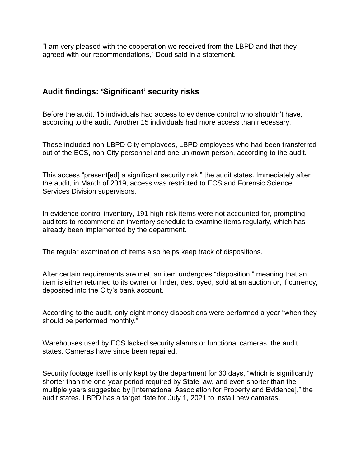"I am very pleased with the cooperation we received from the LBPD and that they agreed with our recommendations," Doud said in a statement.

## **Audit findings: 'Significant' security risks**

Before the audit, 15 individuals had access to evidence control who shouldn't have, according to the audit. Another 15 individuals had more access than necessary.

These included non-LBPD City employees, LBPD employees who had been transferred out of the ECS, non-City personnel and one unknown person, according to the audit.

This access "present[ed] a significant security risk," the audit states. Immediately after the audit, in March of 2019, access was restricted to ECS and Forensic Science Services Division supervisors.

In evidence control inventory, 191 high-risk items were not accounted for, prompting auditors to recommend an inventory schedule to examine items regularly, which has already been implemented by the department.

The regular examination of items also helps keep track of dispositions.

After certain requirements are met, an item undergoes "disposition," meaning that an item is either returned to its owner or finder, destroyed, sold at an auction or, if currency, deposited into the City's bank account.

According to the audit, only eight money dispositions were performed a year "when they should be performed monthly."

Warehouses used by ECS lacked security alarms or functional cameras, the audit states. Cameras have since been repaired.

Security footage itself is only kept by the department for 30 days, "which is significantly shorter than the one-year period required by State law, and even shorter than the multiple years suggested by [International Association for Property and Evidence]," the audit states. LBPD has a target date for July 1, 2021 to install new cameras.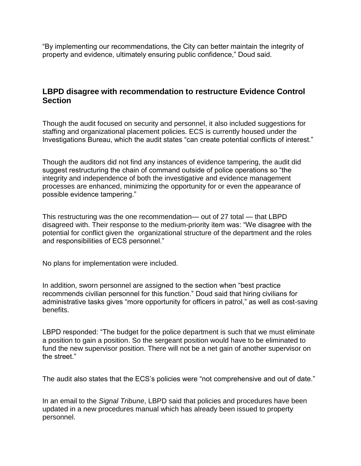"By implementing our recommendations, the City can better maintain the integrity of property and evidence, ultimately ensuring public confidence," Doud said.

## **LBPD disagree with recommendation to restructure Evidence Control Section**

Though the audit focused on security and personnel, it also included suggestions for staffing and organizational placement policies. ECS is currently housed under the Investigations Bureau, which the audit states "can create potential conflicts of interest."

Though the auditors did not find any instances of evidence tampering, the audit did suggest restructuring the chain of command outside of police operations so "the integrity and independence of both the investigative and evidence management processes are enhanced, minimizing the opportunity for or even the appearance of possible evidence tampering."

This restructuring was the one recommendation— out of 27 total — that LBPD disagreed with. Their response to the medium-priority item was: "We disagree with the potential for conflict given the organizational structure of the department and the roles and responsibilities of ECS personnel."

No plans for implementation were included.

In addition, sworn personnel are assigned to the section when "best practice recommends civilian personnel for this function." Doud said that hiring civilians for administrative tasks gives "more opportunity for officers in patrol," as well as cost-saving benefits.

LBPD responded: "The budget for the police department is such that we must eliminate a position to gain a position. So the sergeant position would have to be eliminated to fund the new supervisor position. There will not be a net gain of another supervisor on the street."

The audit also states that the ECS's policies were "not comprehensive and out of date."

In an email to the *Signal Tribune*, LBPD said that policies and procedures have been updated in a new procedures manual which has already been issued to property personnel.